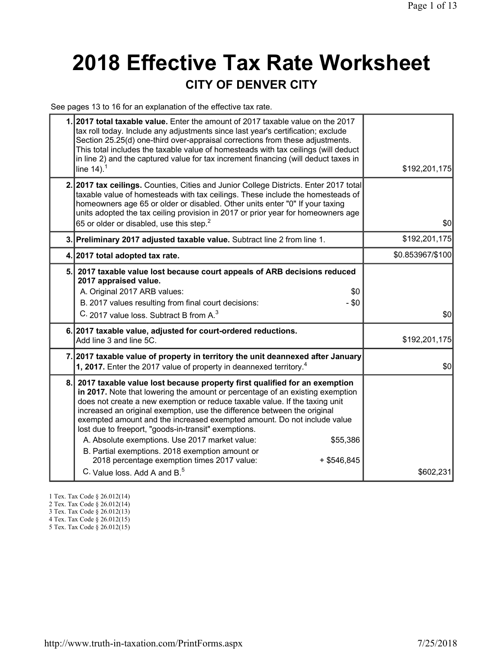## **2018 Effective Tax Rate Worksheet CITY OF DENVER CITY**

See pages 13 to 16 for an explanation of the effective tax rate.

| 1.2017 total taxable value. Enter the amount of 2017 taxable value on the 2017<br>tax roll today. Include any adjustments since last year's certification; exclude<br>Section 25.25(d) one-third over-appraisal corrections from these adjustments.<br>This total includes the taxable value of homesteads with tax ceilings (will deduct<br>in line 2) and the captured value for tax increment financing (will deduct taxes in<br>line $14$ ). <sup>1</sup>                                                                                                                                                                                                                            | \$192,201,175    |
|------------------------------------------------------------------------------------------------------------------------------------------------------------------------------------------------------------------------------------------------------------------------------------------------------------------------------------------------------------------------------------------------------------------------------------------------------------------------------------------------------------------------------------------------------------------------------------------------------------------------------------------------------------------------------------------|------------------|
| 2. 2017 tax ceilings. Counties, Cities and Junior College Districts. Enter 2017 total<br>taxable value of homesteads with tax ceilings. These include the homesteads of<br>homeowners age 65 or older or disabled. Other units enter "0" If your taxing<br>units adopted the tax ceiling provision in 2017 or prior year for homeowners age<br>65 or older or disabled, use this step. <sup>2</sup>                                                                                                                                                                                                                                                                                      | \$0              |
| 3. Preliminary 2017 adjusted taxable value. Subtract line 2 from line 1.                                                                                                                                                                                                                                                                                                                                                                                                                                                                                                                                                                                                                 | \$192,201,175    |
| 4. 2017 total adopted tax rate.                                                                                                                                                                                                                                                                                                                                                                                                                                                                                                                                                                                                                                                          | \$0.853967/\$100 |
| 5. 2017 taxable value lost because court appeals of ARB decisions reduced<br>2017 appraised value.<br>A. Original 2017 ARB values:<br>\$0<br>B. 2017 values resulting from final court decisions:<br>$-$ \$0<br>C. 2017 value loss. Subtract B from A. <sup>3</sup>                                                                                                                                                                                                                                                                                                                                                                                                                      | \$0              |
| 6. 2017 taxable value, adjusted for court-ordered reductions.<br>Add line 3 and line 5C.                                                                                                                                                                                                                                                                                                                                                                                                                                                                                                                                                                                                 | \$192,201,175    |
| 7. 2017 taxable value of property in territory the unit deannexed after January<br>1, 2017. Enter the 2017 value of property in deannexed territory. <sup>4</sup>                                                                                                                                                                                                                                                                                                                                                                                                                                                                                                                        | \$0              |
| 8. 2017 taxable value lost because property first qualified for an exemption<br>in 2017. Note that lowering the amount or percentage of an existing exemption<br>does not create a new exemption or reduce taxable value. If the taxing unit<br>increased an original exemption, use the difference between the original<br>exempted amount and the increased exempted amount. Do not include value<br>lost due to freeport, "goods-in-transit" exemptions.<br>A. Absolute exemptions. Use 2017 market value:<br>\$55,386<br>B. Partial exemptions. 2018 exemption amount or<br>2018 percentage exemption times 2017 value:<br>$+$ \$546,845<br>C. Value loss. Add A and B. <sup>5</sup> | \$602,231        |

- 1 Tex. Tax Code § 26.012(14)
- 2 Tex. Tax Code § 26.012(14)
- 3 Tex. Tax Code § 26.012(13)
- 4 Tex. Tax Code § 26.012(15)
- 5 Tex. Tax Code § 26.012(15)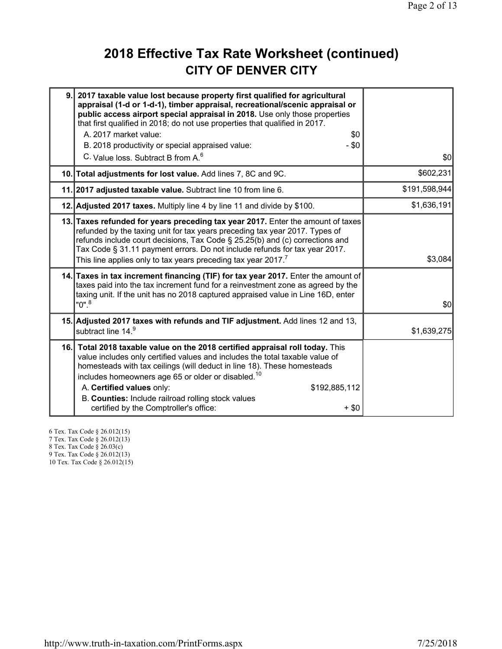## **2018 Effective Tax Rate Worksheet (continued) CITY OF DENVER CITY**

| 9. | 2017 taxable value lost because property first qualified for agricultural<br>appraisal (1-d or 1-d-1), timber appraisal, recreational/scenic appraisal or<br>public access airport special appraisal in 2018. Use only those properties<br>that first qualified in 2018; do not use properties that qualified in 2017.<br>A. 2017 market value:<br>\$0<br>- \$0<br>B. 2018 productivity or special appraised value:<br>C. Value loss. Subtract B from A. <sup>6</sup> | \$0           |
|----|-----------------------------------------------------------------------------------------------------------------------------------------------------------------------------------------------------------------------------------------------------------------------------------------------------------------------------------------------------------------------------------------------------------------------------------------------------------------------|---------------|
|    | 10. Total adjustments for lost value. Add lines 7, 8C and 9C.                                                                                                                                                                                                                                                                                                                                                                                                         | \$602,231     |
|    | 11. 2017 adjusted taxable value. Subtract line 10 from line 6.                                                                                                                                                                                                                                                                                                                                                                                                        | \$191,598,944 |
|    | 12. Adjusted 2017 taxes. Multiply line 4 by line 11 and divide by \$100.                                                                                                                                                                                                                                                                                                                                                                                              | \$1,636,191   |
|    | 13. Taxes refunded for years preceding tax year 2017. Enter the amount of taxes<br>refunded by the taxing unit for tax years preceding tax year 2017. Types of<br>refunds include court decisions, Tax Code § 25.25(b) and (c) corrections and<br>Tax Code § 31.11 payment errors. Do not include refunds for tax year 2017.<br>This line applies only to tax years preceding tax year 2017.7                                                                         | \$3,084       |
|    | 14. Taxes in tax increment financing (TIF) for tax year 2017. Enter the amount of<br>taxes paid into the tax increment fund for a reinvestment zone as agreed by the<br>taxing unit. If the unit has no 2018 captured appraised value in Line 16D, enter<br>$"0"$ . $^8$                                                                                                                                                                                              | \$0           |
|    | 15. Adjusted 2017 taxes with refunds and TIF adjustment. Add lines 12 and 13,<br>subtract line 14.9                                                                                                                                                                                                                                                                                                                                                                   | \$1,639,275   |
|    | 16. Total 2018 taxable value on the 2018 certified appraisal roll today. This<br>value includes only certified values and includes the total taxable value of<br>homesteads with tax ceilings (will deduct in line 18). These homesteads<br>includes homeowners age 65 or older or disabled. <sup>10</sup><br>A. Certified values only:<br>\$192,885,112<br>B. Counties: Include railroad rolling stock values<br>certified by the Comptroller's office:<br>$+$ \$0   |               |

6 Tex. Tax Code § 26.012(15) 7 Tex. Tax Code § 26.012(13) 8 Tex. Tax Code § 26.03(c) 9 Tex. Tax Code § 26.012(13)

10 Tex. Tax Code § 26.012(15)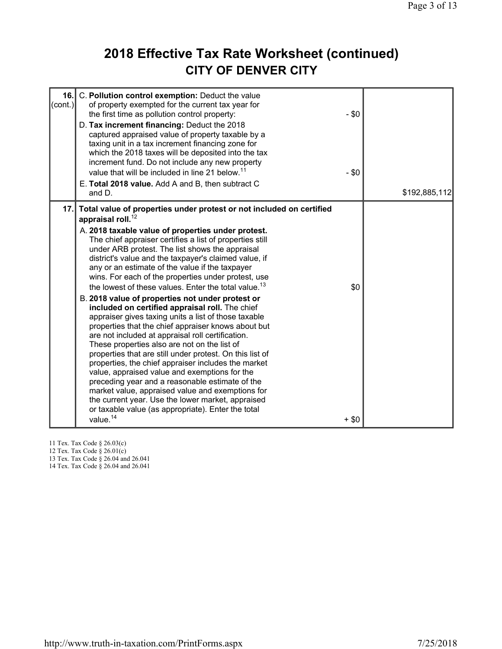### **2018 Effective Tax Rate Worksheet (continued) CITY OF DENVER CITY**

| 16.<br>$\text{(cont.)}$ | C. Pollution control exemption: Deduct the value<br>of property exempted for the current tax year for<br>the first time as pollution control property:<br>D. Tax increment financing: Deduct the 2018<br>captured appraised value of property taxable by a<br>taxing unit in a tax increment financing zone for<br>which the 2018 taxes will be deposited into the tax<br>increment fund. Do not include any new property<br>value that will be included in line 21 below. <sup>11</sup><br>E. Total 2018 value. Add A and B, then subtract C<br>and D.                                                                                                                                                                                                                                                                                                                                                                                                                                                                                                                                                                                                                                                                                                    | $-$ \$0<br>$-$ \$0 | \$192,885,112 |
|-------------------------|------------------------------------------------------------------------------------------------------------------------------------------------------------------------------------------------------------------------------------------------------------------------------------------------------------------------------------------------------------------------------------------------------------------------------------------------------------------------------------------------------------------------------------------------------------------------------------------------------------------------------------------------------------------------------------------------------------------------------------------------------------------------------------------------------------------------------------------------------------------------------------------------------------------------------------------------------------------------------------------------------------------------------------------------------------------------------------------------------------------------------------------------------------------------------------------------------------------------------------------------------------|--------------------|---------------|
| 17.                     | Total value of properties under protest or not included on certified<br>appraisal roll. <sup>12</sup><br>A. 2018 taxable value of properties under protest.<br>The chief appraiser certifies a list of properties still<br>under ARB protest. The list shows the appraisal<br>district's value and the taxpayer's claimed value, if<br>any or an estimate of the value if the taxpayer<br>wins. For each of the properties under protest, use<br>the lowest of these values. Enter the total value. <sup>13</sup><br>B. 2018 value of properties not under protest or<br>included on certified appraisal roll. The chief<br>appraiser gives taxing units a list of those taxable<br>properties that the chief appraiser knows about but<br>are not included at appraisal roll certification.<br>These properties also are not on the list of<br>properties that are still under protest. On this list of<br>properties, the chief appraiser includes the market<br>value, appraised value and exemptions for the<br>preceding year and a reasonable estimate of the<br>market value, appraised value and exemptions for<br>the current year. Use the lower market, appraised<br>or taxable value (as appropriate). Enter the total<br>value. <sup>14</sup> | \$0<br>$+$ \$0     |               |

11 Tex. Tax Code § 26.03(c)

12 Tex. Tax Code § 26.01(c)

13 Tex. Tax Code § 26.04 and 26.041

14 Tex. Tax Code § 26.04 and 26.041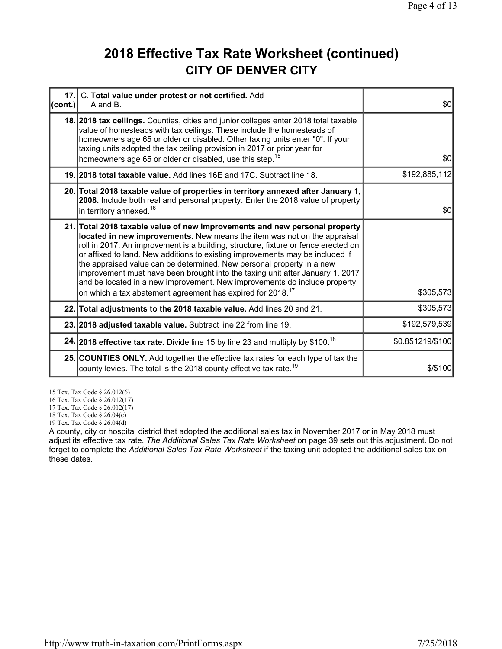#### **2018 Effective Tax Rate Worksheet (continued) CITY OF DENVER CITY**

| 17.1<br> cont. | C. Total value under protest or not certified. Add<br>A and B.                                                                                                                                                                                                                                                                                                                                                                                                                                                                                                                                                                                 | \$0              |
|----------------|------------------------------------------------------------------------------------------------------------------------------------------------------------------------------------------------------------------------------------------------------------------------------------------------------------------------------------------------------------------------------------------------------------------------------------------------------------------------------------------------------------------------------------------------------------------------------------------------------------------------------------------------|------------------|
|                | 18. 2018 tax ceilings. Counties, cities and junior colleges enter 2018 total taxable<br>value of homesteads with tax ceilings. These include the homesteads of<br>homeowners age 65 or older or disabled. Other taxing units enter "0". If your<br>taxing units adopted the tax ceiling provision in 2017 or prior year for<br>homeowners age 65 or older or disabled, use this step. <sup>15</sup>                                                                                                                                                                                                                                            | \$0              |
|                | 19. 2018 total taxable value. Add lines 16E and 17C. Subtract line 18.                                                                                                                                                                                                                                                                                                                                                                                                                                                                                                                                                                         | \$192,885,112    |
|                | 20. Total 2018 taxable value of properties in territory annexed after January 1,<br>2008. Include both real and personal property. Enter the 2018 value of property<br>in territory annexed. <sup>16</sup>                                                                                                                                                                                                                                                                                                                                                                                                                                     | \$0              |
|                | 21. Total 2018 taxable value of new improvements and new personal property<br>located in new improvements. New means the item was not on the appraisal<br>roll in 2017. An improvement is a building, structure, fixture or fence erected on<br>or affixed to land. New additions to existing improvements may be included if<br>the appraised value can be determined. New personal property in a new<br>improvement must have been brought into the taxing unit after January 1, 2017<br>and be located in a new improvement. New improvements do include property<br>on which a tax abatement agreement has expired for 2018. <sup>17</sup> | \$305,573        |
|                | 22. Total adjustments to the 2018 taxable value. Add lines 20 and 21.                                                                                                                                                                                                                                                                                                                                                                                                                                                                                                                                                                          | \$305,573        |
|                | 23. 2018 adjusted taxable value. Subtract line 22 from line 19.                                                                                                                                                                                                                                                                                                                                                                                                                                                                                                                                                                                | \$192,579,539    |
|                | 24. 2018 effective tax rate. Divide line 15 by line 23 and multiply by \$100. <sup>18</sup>                                                                                                                                                                                                                                                                                                                                                                                                                                                                                                                                                    | \$0.851219/\$100 |
|                | 25. COUNTIES ONLY. Add together the effective tax rates for each type of tax the<br>county levies. The total is the 2018 county effective tax rate. <sup>19</sup>                                                                                                                                                                                                                                                                                                                                                                                                                                                                              | \$/\$100         |

15 Tex. Tax Code § 26.012(6)

16 Tex. Tax Code § 26.012(17)

17 Tex. Tax Code § 26.012(17)

18 Tex. Tax Code § 26.04(c)

19 Tex. Tax Code § 26.04(d)

A county, city or hospital district that adopted the additional sales tax in November 2017 or in May 2018 must adjust its effective tax rate. *The Additional Sales Tax Rate Worksheet* on page 39 sets out this adjustment. Do not forget to complete the *Additional Sales Tax Rate Worksheet* if the taxing unit adopted the additional sales tax on these dates.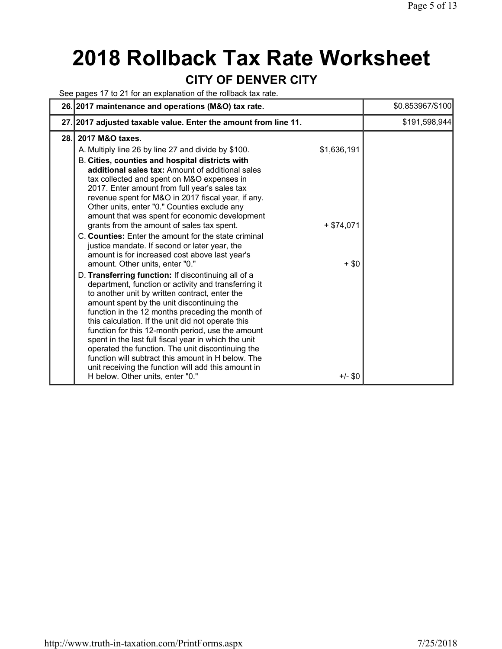# **2018 Rollback Tax Rate Worksheet**

#### **CITY OF DENVER CITY**

See pages 17 to 21 for an explanation of the rollback tax rate.

|      | 26. 2017 maintenance and operations (M&O) tax rate.                                                                                                                                                                                                                                                                                                                                                                                                                                                                                                                                                                                                                                                                                                                                                    | \$0.853967/\$100 |
|------|--------------------------------------------------------------------------------------------------------------------------------------------------------------------------------------------------------------------------------------------------------------------------------------------------------------------------------------------------------------------------------------------------------------------------------------------------------------------------------------------------------------------------------------------------------------------------------------------------------------------------------------------------------------------------------------------------------------------------------------------------------------------------------------------------------|------------------|
|      | 27. 2017 adjusted taxable value. Enter the amount from line 11.                                                                                                                                                                                                                                                                                                                                                                                                                                                                                                                                                                                                                                                                                                                                        | \$191,598,944    |
| 28.1 | 2017 M&O taxes.<br>\$1,636,191<br>A. Multiply line 26 by line 27 and divide by \$100.<br>B. Cities, counties and hospital districts with<br>additional sales tax: Amount of additional sales<br>tax collected and spent on M&O expenses in<br>2017. Enter amount from full year's sales tax<br>revenue spent for M&O in 2017 fiscal year, if any.<br>Other units, enter "0." Counties exclude any<br>amount that was spent for economic development<br>grants from the amount of sales tax spent.<br>$+ $74,071$<br>C. <b>Counties:</b> Enter the amount for the state criminal                                                                                                                                                                                                                        |                  |
|      | justice mandate. If second or later year, the<br>amount is for increased cost above last year's<br>$+$ \$0<br>amount. Other units, enter "0."<br>D. Transferring function: If discontinuing all of a<br>department, function or activity and transferring it<br>to another unit by written contract, enter the<br>amount spent by the unit discontinuing the<br>function in the 12 months preceding the month of<br>this calculation. If the unit did not operate this<br>function for this 12-month period, use the amount<br>spent in the last full fiscal year in which the unit<br>operated the function. The unit discontinuing the<br>function will subtract this amount in H below. The<br>unit receiving the function will add this amount in<br>H below. Other units, enter "0."<br>$+/-$ \$0 |                  |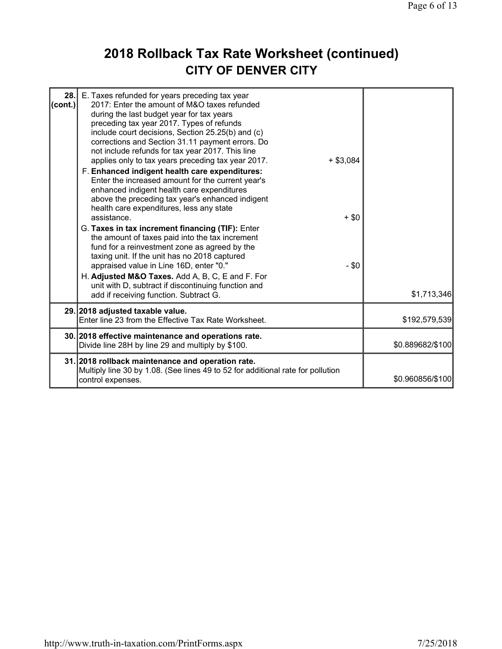## **2018 Rollback Tax Rate Worksheet (continued) CITY OF DENVER CITY**

| 28.<br>$ _{\rm (cont.)} $ | E. Taxes refunded for years preceding tax year<br>2017: Enter the amount of M&O taxes refunded<br>during the last budget year for tax years<br>preceding tax year 2017. Types of refunds<br>include court decisions, Section 25.25(b) and (c)<br>corrections and Section 31.11 payment errors. Do<br>not include refunds for tax year 2017. This line<br>applies only to tax years preceding tax year 2017.<br>F. Enhanced indigent health care expenditures:<br>Enter the increased amount for the current year's<br>enhanced indigent health care expenditures<br>above the preceding tax year's enhanced indigent<br>health care expenditures, less any state<br>assistance.<br>G. Taxes in tax increment financing (TIF): Enter<br>the amount of taxes paid into the tax increment<br>fund for a reinvestment zone as agreed by the<br>taxing unit. If the unit has no 2018 captured<br>appraised value in Line 16D, enter "0."<br>H. Adjusted M&O Taxes. Add A, B, C, E and F. For<br>unit with D, subtract if discontinuing function and | $+$ \$3,084<br>$+$ \$0<br>$-$ \$0 |                  |
|---------------------------|------------------------------------------------------------------------------------------------------------------------------------------------------------------------------------------------------------------------------------------------------------------------------------------------------------------------------------------------------------------------------------------------------------------------------------------------------------------------------------------------------------------------------------------------------------------------------------------------------------------------------------------------------------------------------------------------------------------------------------------------------------------------------------------------------------------------------------------------------------------------------------------------------------------------------------------------------------------------------------------------------------------------------------------------|-----------------------------------|------------------|
|                           | add if receiving function. Subtract G.                                                                                                                                                                                                                                                                                                                                                                                                                                                                                                                                                                                                                                                                                                                                                                                                                                                                                                                                                                                                         |                                   | \$1,713,346      |
|                           | 29. 2018 adjusted taxable value.<br>Enter line 23 from the Effective Tax Rate Worksheet.                                                                                                                                                                                                                                                                                                                                                                                                                                                                                                                                                                                                                                                                                                                                                                                                                                                                                                                                                       |                                   | \$192,579,539    |
|                           | 30. 2018 effective maintenance and operations rate.<br>Divide line 28H by line 29 and multiply by \$100.                                                                                                                                                                                                                                                                                                                                                                                                                                                                                                                                                                                                                                                                                                                                                                                                                                                                                                                                       |                                   | \$0.889682/\$100 |
|                           | 31. 2018 rollback maintenance and operation rate.<br>Multiply line 30 by 1.08. (See lines 49 to 52 for additional rate for pollution<br>control expenses.                                                                                                                                                                                                                                                                                                                                                                                                                                                                                                                                                                                                                                                                                                                                                                                                                                                                                      |                                   | \$0.960856/\$100 |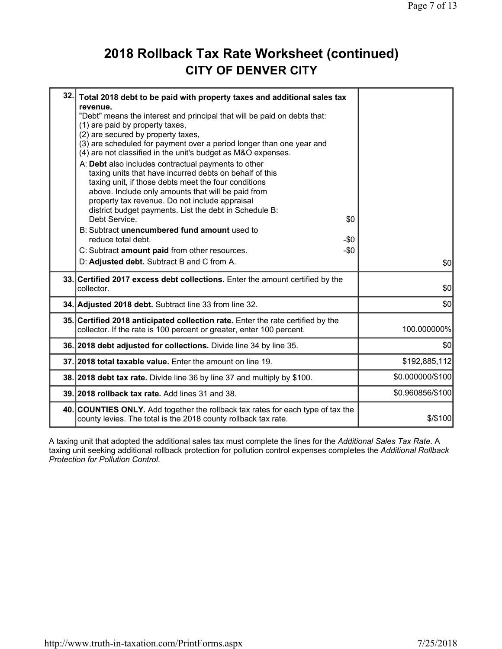#### **2018 Rollback Tax Rate Worksheet (continued) CITY OF DENVER CITY**

| 32. | Total 2018 debt to be paid with property taxes and additional sales tax<br>revenue.<br>"Debt" means the interest and principal that will be paid on debts that:<br>(1) are paid by property taxes,<br>(2) are secured by property taxes,<br>(3) are scheduled for payment over a period longer than one year and<br>(4) are not classified in the unit's budget as M&O expenses.<br>A: Debt also includes contractual payments to other<br>taxing units that have incurred debts on behalf of this<br>taxing unit, if those debts meet the four conditions<br>above. Include only amounts that will be paid from<br>property tax revenue. Do not include appraisal<br>district budget payments. List the debt in Schedule B:<br>Debt Service.<br>\$0<br>B: Subtract unencumbered fund amount used to<br>reduce total debt.<br>-\$0<br>$-\$0$<br>C: Subtract amount paid from other resources.<br>D: Adjusted debt. Subtract B and C from A. | \$0l             |
|-----|---------------------------------------------------------------------------------------------------------------------------------------------------------------------------------------------------------------------------------------------------------------------------------------------------------------------------------------------------------------------------------------------------------------------------------------------------------------------------------------------------------------------------------------------------------------------------------------------------------------------------------------------------------------------------------------------------------------------------------------------------------------------------------------------------------------------------------------------------------------------------------------------------------------------------------------------|------------------|
|     | 33. Certified 2017 excess debt collections. Enter the amount certified by the<br>collector.                                                                                                                                                                                                                                                                                                                                                                                                                                                                                                                                                                                                                                                                                                                                                                                                                                                 | \$0              |
|     | 34. Adjusted 2018 debt. Subtract line 33 from line 32.                                                                                                                                                                                                                                                                                                                                                                                                                                                                                                                                                                                                                                                                                                                                                                                                                                                                                      | \$0              |
|     | 35. Certified 2018 anticipated collection rate. Enter the rate certified by the<br>collector. If the rate is 100 percent or greater, enter 100 percent.                                                                                                                                                                                                                                                                                                                                                                                                                                                                                                                                                                                                                                                                                                                                                                                     | 100.000000%      |
|     | 36. 2018 debt adjusted for collections. Divide line 34 by line 35.                                                                                                                                                                                                                                                                                                                                                                                                                                                                                                                                                                                                                                                                                                                                                                                                                                                                          | \$0              |
|     | 37. 2018 total taxable value. Enter the amount on line 19.                                                                                                                                                                                                                                                                                                                                                                                                                                                                                                                                                                                                                                                                                                                                                                                                                                                                                  | \$192,885,112    |
|     | 38. 2018 debt tax rate. Divide line 36 by line 37 and multiply by \$100.                                                                                                                                                                                                                                                                                                                                                                                                                                                                                                                                                                                                                                                                                                                                                                                                                                                                    | \$0.000000/\$100 |
|     | 39. 2018 rollback tax rate. Add lines 31 and 38.                                                                                                                                                                                                                                                                                                                                                                                                                                                                                                                                                                                                                                                                                                                                                                                                                                                                                            | \$0.960856/\$100 |
|     | 40. COUNTIES ONLY. Add together the rollback tax rates for each type of tax the<br>county levies. The total is the 2018 county rollback tax rate.                                                                                                                                                                                                                                                                                                                                                                                                                                                                                                                                                                                                                                                                                                                                                                                           | $$$ /\$100       |

A taxing unit that adopted the additional sales tax must complete the lines for the *Additional Sales Tax Rate*. A taxing unit seeking additional rollback protection for pollution control expenses completes the *Additional Rollback Protection for Pollution Control*.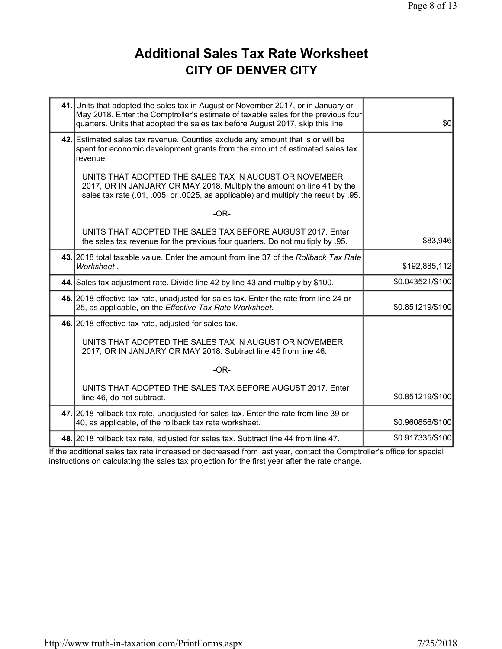### **Additional Sales Tax Rate Worksheet CITY OF DENVER CITY**

| 41. Units that adopted the sales tax in August or November 2017, or in January or<br>May 2018. Enter the Comptroller's estimate of taxable sales for the previous four<br>quarters. Units that adopted the sales tax before August 2017, skip this line. | \$0              |
|----------------------------------------------------------------------------------------------------------------------------------------------------------------------------------------------------------------------------------------------------------|------------------|
| 42. Estimated sales tax revenue. Counties exclude any amount that is or will be<br>spent for economic development grants from the amount of estimated sales tax<br>revenue.                                                                              |                  |
| UNITS THAT ADOPTED THE SALES TAX IN AUGUST OR NOVEMBER<br>2017, OR IN JANUARY OR MAY 2018. Multiply the amount on line 41 by the<br>sales tax rate (.01, .005, or .0025, as applicable) and multiply the result by .95.                                  |                  |
| $-OR-$                                                                                                                                                                                                                                                   |                  |
| UNITS THAT ADOPTED THE SALES TAX BEFORE AUGUST 2017. Enter<br>the sales tax revenue for the previous four quarters. Do not multiply by 0.95.                                                                                                             | \$83,946         |
| 43. 2018 total taxable value. Enter the amount from line 37 of the Rollback Tax Rate<br>Worksheet.                                                                                                                                                       | \$192,885,112    |
| 44. Sales tax adjustment rate. Divide line 42 by line 43 and multiply by \$100.                                                                                                                                                                          | \$0.043521/\$100 |
| 45. 2018 effective tax rate, unadjusted for sales tax. Enter the rate from line 24 or<br>25, as applicable, on the Effective Tax Rate Worksheet.                                                                                                         | \$0.851219/\$100 |
| 46. 2018 effective tax rate, adjusted for sales tax.                                                                                                                                                                                                     |                  |
| UNITS THAT ADOPTED THE SALES TAX IN AUGUST OR NOVEMBER<br>2017, OR IN JANUARY OR MAY 2018. Subtract line 45 from line 46.                                                                                                                                |                  |
| $-OR-$                                                                                                                                                                                                                                                   |                  |
| UNITS THAT ADOPTED THE SALES TAX BEFORE AUGUST 2017. Enter<br>line 46, do not subtract.                                                                                                                                                                  | \$0.851219/\$100 |
| 47. 2018 rollback tax rate, unadjusted for sales tax. Enter the rate from line 39 or<br>40, as applicable, of the rollback tax rate worksheet.                                                                                                           | \$0.960856/\$100 |
| 48. 2018 rollback tax rate, adjusted for sales tax. Subtract line 44 from line 47.                                                                                                                                                                       | \$0.917335/\$100 |

If the additional sales tax rate increased or decreased from last year, contact the Comptroller's office for special instructions on calculating the sales tax projection for the first year after the rate change.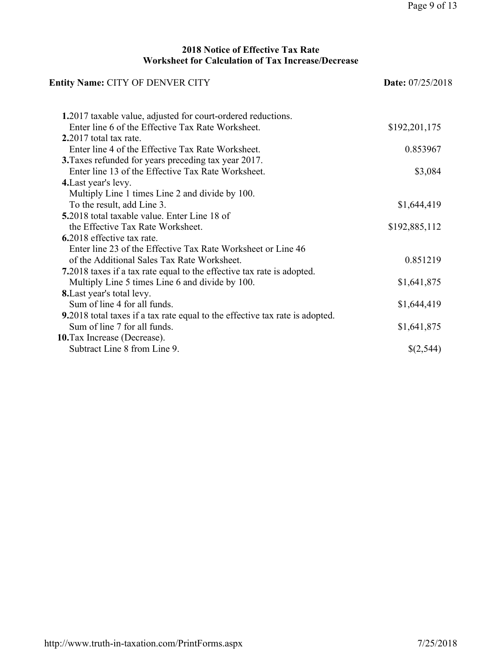#### **2018 Notice of Effective Tax Rate Worksheet for Calculation of Tax Increase/Decrease**

| <b>Entity Name: CITY OF DENVER CITY</b>                                              | <b>Date:</b> 07/25/2018 |  |
|--------------------------------------------------------------------------------------|-------------------------|--|
| 1.2017 taxable value, adjusted for court-ordered reductions.                         |                         |  |
| Enter line 6 of the Effective Tax Rate Worksheet.                                    | \$192,201,175           |  |
| $2.2017$ total tax rate.                                                             |                         |  |
| Enter line 4 of the Effective Tax Rate Worksheet.                                    | 0.853967                |  |
| 3. Taxes refunded for years preceding tax year 2017.                                 |                         |  |
| Enter line 13 of the Effective Tax Rate Worksheet.                                   | \$3,084                 |  |
| 4. Last year's levy.                                                                 |                         |  |
| Multiply Line 1 times Line 2 and divide by 100.                                      |                         |  |
| To the result, add Line 3.                                                           | \$1,644,419             |  |
| <b>5.2018</b> total taxable value. Enter Line 18 of                                  |                         |  |
| the Effective Tax Rate Worksheet.                                                    | \$192,885,112           |  |
| 6.2018 effective tax rate.                                                           |                         |  |
| Enter line 23 of the Effective Tax Rate Worksheet or Line 46                         |                         |  |
| of the Additional Sales Tax Rate Worksheet.                                          | 0.851219                |  |
| 7.2018 taxes if a tax rate equal to the effective tax rate is adopted.               |                         |  |
| Multiply Line 5 times Line 6 and divide by 100.                                      | \$1,641,875             |  |
| <b>8.</b> Last year's total levy.                                                    |                         |  |
| Sum of line 4 for all funds.                                                         | \$1,644,419             |  |
| <b>9.</b> 2018 total taxes if a tax rate equal to the effective tax rate is adopted. |                         |  |
| Sum of line 7 for all funds.                                                         | \$1,641,875             |  |
| <b>10.</b> Tax Increase (Decrease).                                                  |                         |  |
| Subtract Line 8 from Line 9.                                                         | \$(2,544)               |  |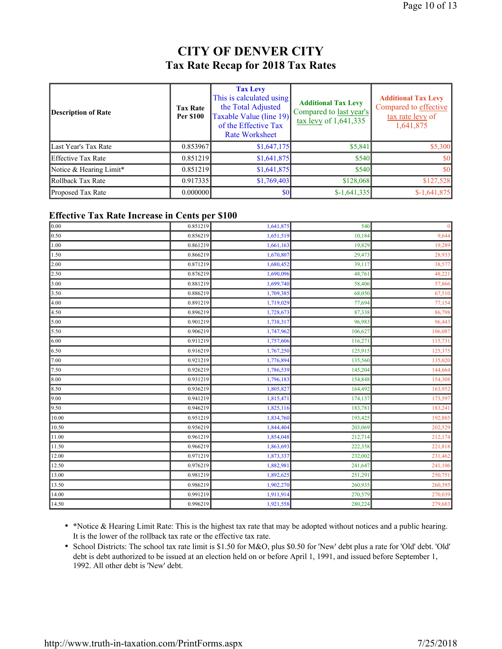#### **CITY OF DENVER CITY Tax Rate Recap for 2018 Tax Rates**

| Description of Rate       | <b>Tax Rate</b><br><b>Per \$100</b> | <b>Tax Levy</b><br>This is calculated using<br>the Total Adjusted<br>Taxable Value (line 19)<br>of the Effective Tax<br><b>Rate Worksheet</b> | <b>Additional Tax Levy</b><br>Compared to last year's<br>$\frac{\text{tax} \text{levy}}{1,641,335}$ | <b>Additional Tax Levy</b><br>Compared to effective<br>tax rate levy of<br>1,641,875 |
|---------------------------|-------------------------------------|-----------------------------------------------------------------------------------------------------------------------------------------------|-----------------------------------------------------------------------------------------------------|--------------------------------------------------------------------------------------|
| Last Year's Tax Rate      | 0.853967                            | \$1,647,175                                                                                                                                   | \$5,841                                                                                             | \$5,300                                                                              |
| <b>Effective Tax Rate</b> | 0.851219                            | \$1,641,875                                                                                                                                   | \$540                                                                                               | \$0                                                                                  |
| Notice & Hearing Limit*   | 0.851219                            | \$1,641,875                                                                                                                                   | \$540                                                                                               | \$0                                                                                  |
| Rollback Tax Rate         | 0.917335                            | \$1,769,403                                                                                                                                   | \$128,068                                                                                           | \$127,528                                                                            |
| Proposed Tax Rate         | 0.000000                            | \$0                                                                                                                                           | $$-1,641,335$                                                                                       | $$-1,641,875$                                                                        |

#### **Effective Tax Rate Increase in Cents per \$100**

| 0.00  | 0.851219 | 1,641,875 | 540     | $\mathbf{0}$ |
|-------|----------|-----------|---------|--------------|
| 0.50  | 0.856219 | 1,651,519 | 10,184  | 9,644        |
| 1.00  | 0.861219 | 1,661,163 | 19,829  | 19,289       |
| 1.50  | 0.866219 | 1,670,807 | 29,473  | 28,933       |
| 2.00  | 0.871219 | 1,680,452 | 39,117  | 38,577       |
| 2.50  | 0.876219 | 1,690,096 | 48,761  | 48,221       |
| 3.00  | 0.881219 | 1,699,740 | 58,406  | 57,866       |
| 3.50  | 0.886219 | 1,709,385 | 68,050  | 67,510       |
| 4.00  | 0.891219 | 1,719,029 | 77,694  | 77,154       |
| 4.50  | 0.896219 | 1,728,673 | 87,338  | 86,798       |
| 5.00  | 0.901219 | 1,738,317 | 96,983  | 96,443       |
| 5.50  | 0.906219 | 1,747,962 | 106,627 | 106,087      |
| 6.00  | 0.911219 | 1,757,606 | 116,271 | 115,731      |
| 6.50  | 0.916219 | 1,767,250 | 125,915 | 125,375      |
| 7.00  | 0.921219 | 1,776,894 | 135,560 | 135,020      |
| 7.50  | 0.926219 | 1,786,539 | 145,204 | 144,664      |
| 8.00  | 0.931219 | 1,796,183 | 154,848 | 154,308      |
| 8.50  | 0.936219 | 1,805,827 | 164,492 | 163,952      |
| 9.00  | 0.941219 | 1,815,471 | 174,137 | 173,597      |
| 9.50  | 0.946219 | 1,825,116 | 183,781 | 183,241      |
| 10.00 | 0.951219 | 1,834,760 | 193,425 | 192,885      |
| 10.50 | 0.956219 | 1,844,404 | 203,069 | 202,529      |
| 11.00 | 0.961219 | 1,854,048 | 212,714 | 212,174      |
| 11.50 | 0.966219 | 1,863,693 | 222,358 | 221,818      |
| 12.00 | 0.971219 | 1,873,337 | 232,002 | 231,462      |
| 12.50 | 0.976219 | 1,882,981 | 241,647 | 241,106      |
| 13.00 | 0.981219 | 1,892,625 | 251,291 | 250,751      |
| 13.50 | 0.986219 | 1,902,270 | 260,935 | 260,395      |
| 14.00 | 0.991219 | 1,911,914 | 270,579 | 270,039      |
| 14.50 | 0.996219 | 1,921,558 | 280,224 | 279,683      |

• \*Notice & Hearing Limit Rate: This is the highest tax rate that may be adopted without notices and a public hearing. It is the lower of the rollback tax rate or the effective tax rate.

• School Districts: The school tax rate limit is \$1.50 for M&O, plus \$0.50 for 'New' debt plus a rate for 'Old' debt. 'Old' debt is debt authorized to be issued at an election held on or before April 1, 1991, and issued before September 1, 1992. All other debt is 'New' debt.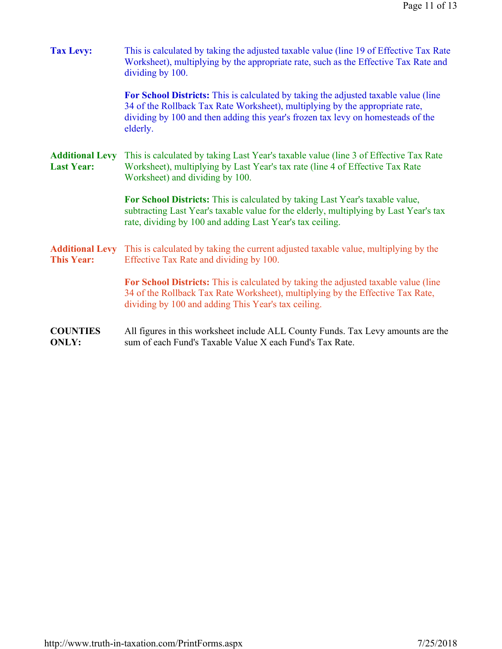| <b>Tax Levy:</b>                            | This is calculated by taking the adjusted taxable value (line 19 of Effective Tax Rate<br>Worksheet), multiplying by the appropriate rate, such as the Effective Tax Rate and<br>dividing by 100.                                                                   |
|---------------------------------------------|---------------------------------------------------------------------------------------------------------------------------------------------------------------------------------------------------------------------------------------------------------------------|
|                                             | For School Districts: This is calculated by taking the adjusted taxable value (line<br>34 of the Rollback Tax Rate Worksheet), multiplying by the appropriate rate,<br>dividing by 100 and then adding this year's frozen tax levy on homesteads of the<br>elderly. |
| <b>Additional Levy</b><br><b>Last Year:</b> | This is calculated by taking Last Year's taxable value (line 3 of Effective Tax Rate<br>Worksheet), multiplying by Last Year's tax rate (line 4 of Effective Tax Rate<br>Worksheet) and dividing by 100.                                                            |
|                                             | For School Districts: This is calculated by taking Last Year's taxable value,<br>subtracting Last Year's taxable value for the elderly, multiplying by Last Year's tax<br>rate, dividing by 100 and adding Last Year's tax ceiling.                                 |
| <b>Additional Levy</b><br><b>This Year:</b> | This is calculated by taking the current adjusted taxable value, multiplying by the<br>Effective Tax Rate and dividing by 100.                                                                                                                                      |
|                                             | For School Districts: This is calculated by taking the adjusted taxable value (line<br>34 of the Rollback Tax Rate Worksheet), multiplying by the Effective Tax Rate,<br>dividing by 100 and adding This Year's tax ceiling.                                        |
| <b>COUNTIES</b><br><b>ONLY:</b>             | All figures in this worksheet include ALL County Funds. Tax Levy amounts are the<br>sum of each Fund's Taxable Value X each Fund's Tax Rate.                                                                                                                        |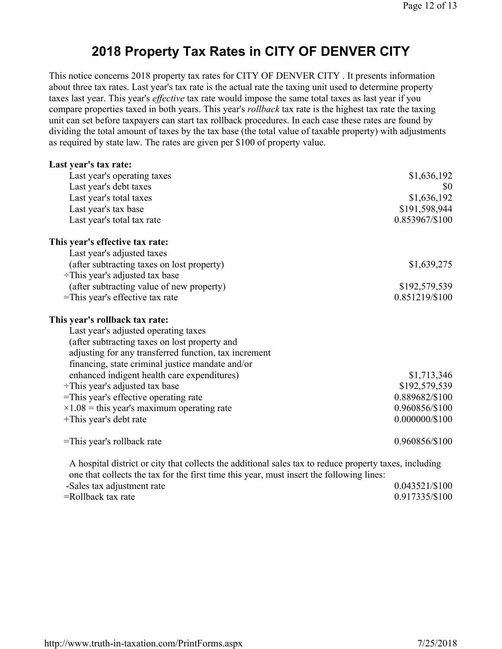#### **2018 Property Tax Rates in CITY OF DENVER CITY**

This notice concerns 2018 property tax rates for CITY OF DENVER CITY . It presents information about three tax rates. Last year's tax rate is the actual rate the taxing unit used to determine property taxes last year. This year's *effective* tax rate would impose the same total taxes as last year if you compare properties taxed in both years. This year's *rollback* tax rate is the highest tax rate the taxing unit can set before taxpayers can start tax rollback procedures. In each case these rates are found by dividing the total amount of taxes by the tax base (the total value of taxable property) with adjustments as required by state law. The rates are given per \$100 of property value.

| Last year's tax rate:                                                                                                                                                                              |                  |
|----------------------------------------------------------------------------------------------------------------------------------------------------------------------------------------------------|------------------|
| Last year's operating taxes                                                                                                                                                                        | \$1,636,192      |
| Last year's debt taxes                                                                                                                                                                             | \$0              |
| Last year's total taxes                                                                                                                                                                            | \$1,636,192      |
| Last year's tax base                                                                                                                                                                               | \$191,598,944    |
| Last year's total tax rate                                                                                                                                                                         | 0.853967/\$100   |
| This year's effective tax rate:                                                                                                                                                                    |                  |
| Last year's adjusted taxes                                                                                                                                                                         |                  |
| (after subtracting taxes on lost property)                                                                                                                                                         | \$1,639,275      |
| $\div$ This year's adjusted tax base                                                                                                                                                               |                  |
| (after subtracting value of new property)                                                                                                                                                          | \$192,579,539    |
| =This year's effective tax rate                                                                                                                                                                    | 0.851219/\$100   |
| This year's rollback tax rate:                                                                                                                                                                     |                  |
| Last year's adjusted operating taxes                                                                                                                                                               |                  |
| (after subtracting taxes on lost property and                                                                                                                                                      |                  |
| adjusting for any transferred function, tax increment                                                                                                                                              |                  |
| financing, state criminal justice mandate and/or                                                                                                                                                   |                  |
| enhanced indigent health care expenditures)                                                                                                                                                        | \$1,713,346      |
| $\div$ This year's adjusted tax base                                                                                                                                                               | \$192,579,539    |
| =This year's effective operating rate                                                                                                                                                              | 0.889682/\$100   |
| $\times$ 1.08 = this year's maximum operating rate                                                                                                                                                 | 0.960856/\$100   |
| +This year's debt rate                                                                                                                                                                             | $0.000000/\$100$ |
| =This year's rollback rate                                                                                                                                                                         | 0.960856/\$100   |
| A hospital district or city that collects the additional sales tax to reduce property taxes, including<br>one that collects the tay for the first time this year, must insert the following lines: |                  |

| one that concets the tax for the first three this year, must misert the following fines. |                |
|------------------------------------------------------------------------------------------|----------------|
| -Sales tax adjustment rate                                                               | 0.043521/\$100 |
| =Rollback tax rate                                                                       | 0.917335/\$100 |